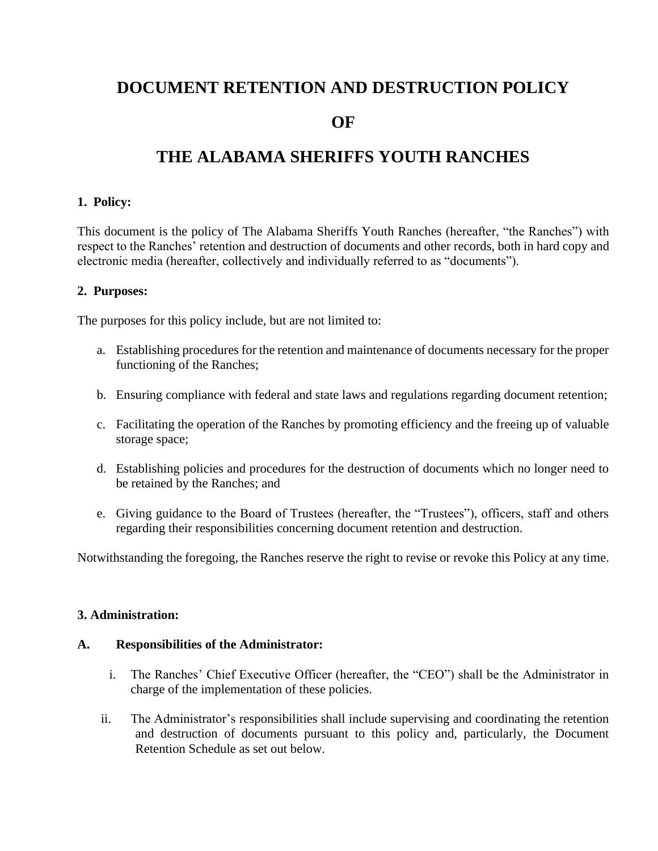# **DOCUMENT RETENTION AND DESTRUCTION POLICY**

# **OF**

# **THE ALABAMA SHERIFFS YOUTH RANCHES**

# **1. Policy:**

This document is the policy of The Alabama Sheriffs Youth Ranches (hereafter, "the Ranches") with respect to the Ranches' retention and destruction of documents and other records, both in hard copy and electronic media (hereafter, collectively and individually referred to as "documents").

#### **2. Purposes:**

The purposes for this policy include, but are not limited to:

- a. Establishing procedures for the retention and maintenance of documents necessary for the proper functioning of the Ranches;
- b. Ensuring compliance with federal and state laws and regulations regarding document retention;
- c. Facilitating the operation of the Ranches by promoting efficiency and the freeing up of valuable storage space;
- d. Establishing policies and procedures for the destruction of documents which no longer need to be retained by the Ranches; and
- e. Giving guidance to the Board of Trustees (hereafter, the "Trustees"), officers, staff and others regarding their responsibilities concerning document retention and destruction.

Notwithstanding the foregoing, the Ranches reserve the right to revise or revoke this Policy at any time.

### **3. Administration:**

#### **A. Responsibilities of the Administrator:**

- i. The Ranches' Chief Executive Officer (hereafter, the "CEO") shall be the Administrator in charge of the implementation of these policies.
- ii. The Administrator's responsibilities shall include supervising and coordinating the retention and destruction of documents pursuant to this policy and, particularly, the Document Retention Schedule as set out below.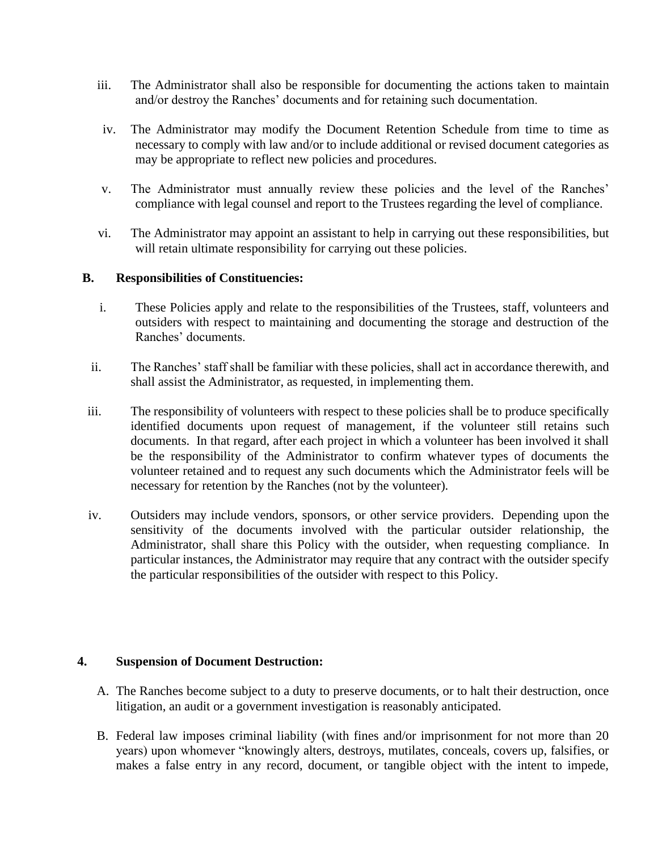- iii. The Administrator shall also be responsible for documenting the actions taken to maintain and/or destroy the Ranches' documents and for retaining such documentation.
- iv. The Administrator may modify the Document Retention Schedule from time to time as necessary to comply with law and/or to include additional or revised document categories as may be appropriate to reflect new policies and procedures.
- v. The Administrator must annually review these policies and the level of the Ranches' compliance with legal counsel and report to the Trustees regarding the level of compliance.
- vi. The Administrator may appoint an assistant to help in carrying out these responsibilities, but will retain ultimate responsibility for carrying out these policies.

# **B. Responsibilities of Constituencies:**

- i. These Policies apply and relate to the responsibilities of the Trustees, staff, volunteers and outsiders with respect to maintaining and documenting the storage and destruction of the Ranches' documents.
- ii. The Ranches' staff shall be familiar with these policies, shall act in accordance therewith, and shall assist the Administrator, as requested, in implementing them.
- iii. The responsibility of volunteers with respect to these policies shall be to produce specifically identified documents upon request of management, if the volunteer still retains such documents. In that regard, after each project in which a volunteer has been involved it shall be the responsibility of the Administrator to confirm whatever types of documents the volunteer retained and to request any such documents which the Administrator feels will be necessary for retention by the Ranches (not by the volunteer).
- iv. Outsiders may include vendors, sponsors, or other service providers. Depending upon the sensitivity of the documents involved with the particular outsider relationship, the Administrator, shall share this Policy with the outsider, when requesting compliance. In particular instances, the Administrator may require that any contract with the outsider specify the particular responsibilities of the outsider with respect to this Policy.

# **4. Suspension of Document Destruction:**

- A. The Ranches become subject to a duty to preserve documents, or to halt their destruction, once litigation, an audit or a government investigation is reasonably anticipated.
- B. Federal law imposes criminal liability (with fines and/or imprisonment for not more than 20 years) upon whomever "knowingly alters, destroys, mutilates, conceals, covers up, falsifies, or makes a false entry in any record, document, or tangible object with the intent to impede,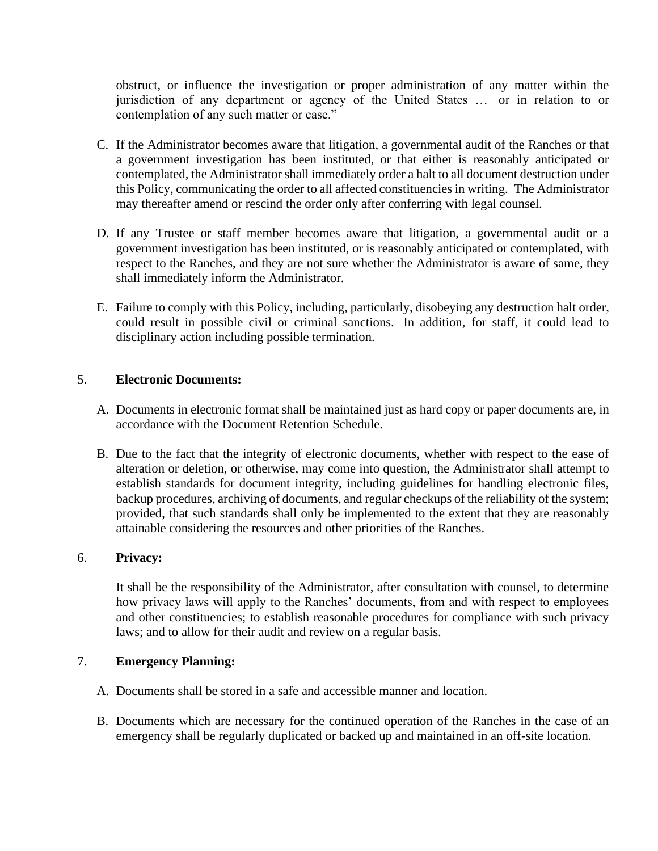obstruct, or influence the investigation or proper administration of any matter within the jurisdiction of any department or agency of the United States … or in relation to or contemplation of any such matter or case."

- C. If the Administrator becomes aware that litigation, a governmental audit of the Ranches or that a government investigation has been instituted, or that either is reasonably anticipated or contemplated, the Administrator shall immediately order a halt to all document destruction under this Policy, communicating the order to all affected constituencies in writing. The Administrator may thereafter amend or rescind the order only after conferring with legal counsel.
- D. If any Trustee or staff member becomes aware that litigation, a governmental audit or a government investigation has been instituted, or is reasonably anticipated or contemplated, with respect to the Ranches, and they are not sure whether the Administrator is aware of same, they shall immediately inform the Administrator.
- E. Failure to comply with this Policy, including, particularly, disobeying any destruction halt order, could result in possible civil or criminal sanctions. In addition, for staff, it could lead to disciplinary action including possible termination.

# 5. **Electronic Documents:**

- A. Documents in electronic format shall be maintained just as hard copy or paper documents are, in accordance with the Document Retention Schedule.
- B. Due to the fact that the integrity of electronic documents, whether with respect to the ease of alteration or deletion, or otherwise, may come into question, the Administrator shall attempt to establish standards for document integrity, including guidelines for handling electronic files, backup procedures, archiving of documents, and regular checkups of the reliability of the system; provided, that such standards shall only be implemented to the extent that they are reasonably attainable considering the resources and other priorities of the Ranches.

# 6. **Privacy:**

It shall be the responsibility of the Administrator, after consultation with counsel, to determine how privacy laws will apply to the Ranches' documents, from and with respect to employees and other constituencies; to establish reasonable procedures for compliance with such privacy laws; and to allow for their audit and review on a regular basis.

# 7. **Emergency Planning:**

- A. Documents shall be stored in a safe and accessible manner and location.
- B. Documents which are necessary for the continued operation of the Ranches in the case of an emergency shall be regularly duplicated or backed up and maintained in an off-site location.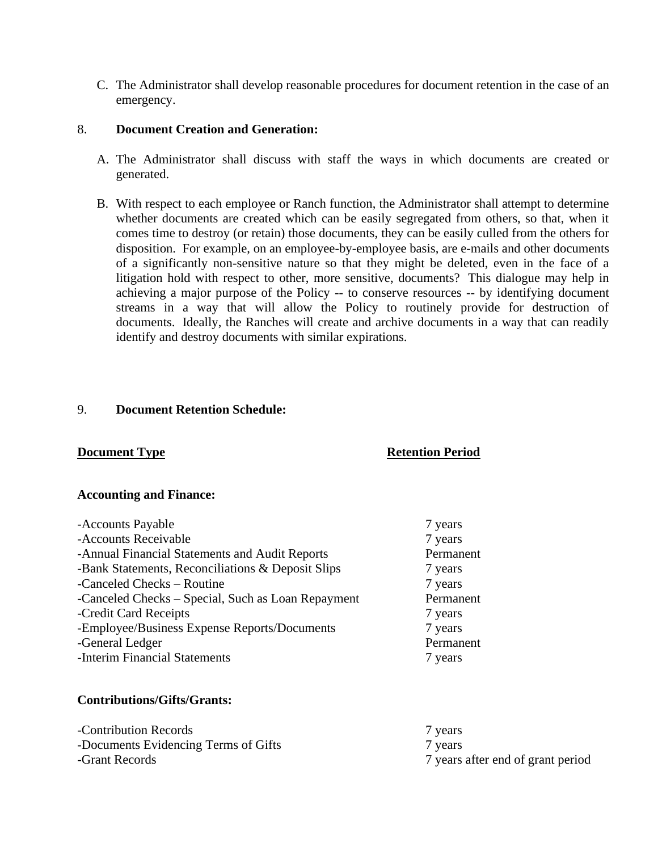C. The Administrator shall develop reasonable procedures for document retention in the case of an emergency.

# 8. **Document Creation and Generation:**

- A. The Administrator shall discuss with staff the ways in which documents are created or generated.
- B. With respect to each employee or Ranch function, the Administrator shall attempt to determine whether documents are created which can be easily segregated from others, so that, when it comes time to destroy (or retain) those documents, they can be easily culled from the others for disposition. For example, on an employee-by-employee basis, are e-mails and other documents of a significantly non-sensitive nature so that they might be deleted, even in the face of a litigation hold with respect to other, more sensitive, documents? This dialogue may help in achieving a major purpose of the Policy -- to conserve resources -- by identifying document streams in a way that will allow the Policy to routinely provide for destruction of documents. Ideally, the Ranches will create and archive documents in a way that can readily identify and destroy documents with similar expirations.

# 9. **Document Retention Schedule:**

# **Document Type Retention Period**

#### **Accounting and Finance:**

| -Accounts Payable                                  | 7 years   |
|----------------------------------------------------|-----------|
| -Accounts Receivable                               | 7 years   |
| -Annual Financial Statements and Audit Reports     | Permanent |
| -Bank Statements, Reconciliations & Deposit Slips  | 7 years   |
| -Canceled Checks – Routine                         | 7 years   |
| -Canceled Checks – Special, Such as Loan Repayment | Permanent |
| -Credit Card Receipts                              | 7 years   |
| -Employee/Business Expense Reports/Documents       | 7 years   |
| -General Ledger                                    | Permanent |
| -Interim Financial Statements                      | 7 years   |

# **Contributions/Gifts/Grants:**

| -Contribution Records                | 7 years                           |
|--------------------------------------|-----------------------------------|
| -Documents Evidencing Terms of Gifts | 7 years                           |
| -Grant Records                       | 7 years after end of grant period |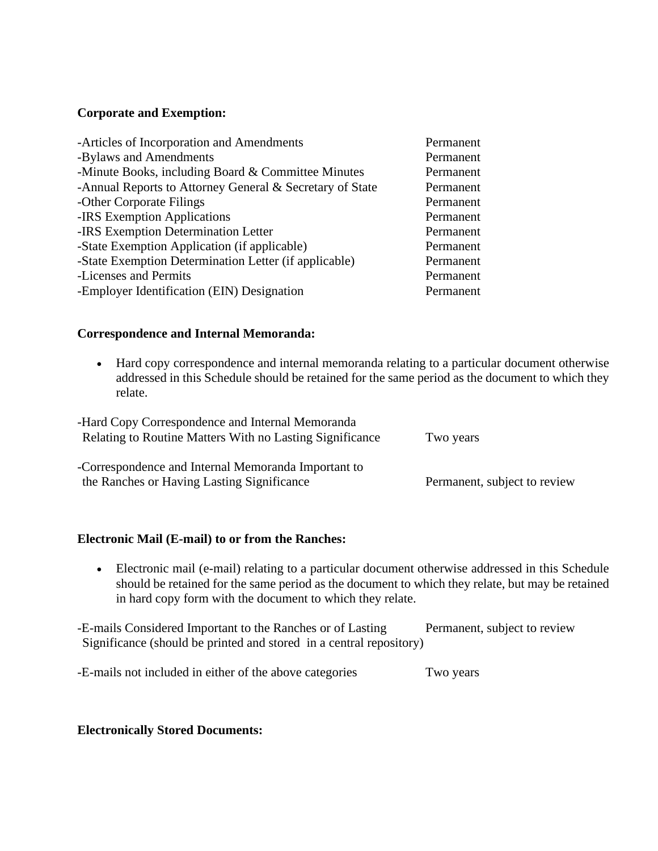# **Corporate and Exemption:**

| -Articles of Incorporation and Amendments                | Permanent |
|----------------------------------------------------------|-----------|
| -Bylaws and Amendments                                   | Permanent |
| -Minute Books, including Board $&$ Committee Minutes     | Permanent |
| -Annual Reports to Attorney General & Secretary of State | Permanent |
| -Other Corporate Filings                                 | Permanent |
| -IRS Exemption Applications                              | Permanent |
| -IRS Exemption Determination Letter                      | Permanent |
| -State Exemption Application (if applicable)             | Permanent |
| -State Exemption Determination Letter (if applicable)    | Permanent |
| -Licenses and Permits                                    | Permanent |
| -Employer Identification (EIN) Designation               | Permanent |

# **Correspondence and Internal Memoranda:**

• Hard copy correspondence and internal memoranda relating to a particular document otherwise addressed in this Schedule should be retained for the same period as the document to which they relate.

| -Hard Copy Correspondence and Internal Memoranda<br>Relating to Routine Matters With no Lasting Significance | Two years                    |
|--------------------------------------------------------------------------------------------------------------|------------------------------|
| -Correspondence and Internal Memoranda Important to<br>the Ranches or Having Lasting Significance            | Permanent, subject to review |

# **Electronic Mail (E-mail) to or from the Ranches:**

• Electronic mail (e-mail) relating to a particular document otherwise addressed in this Schedule should be retained for the same period as the document to which they relate, but may be retained in hard copy form with the document to which they relate.

-E-mails Considered Important to the Ranches or of Lasting Permanent, subject to review Significance (should be printed and stored in a central repository)

-E-mails not included in either of the above categories Two years

# **Electronically Stored Documents:**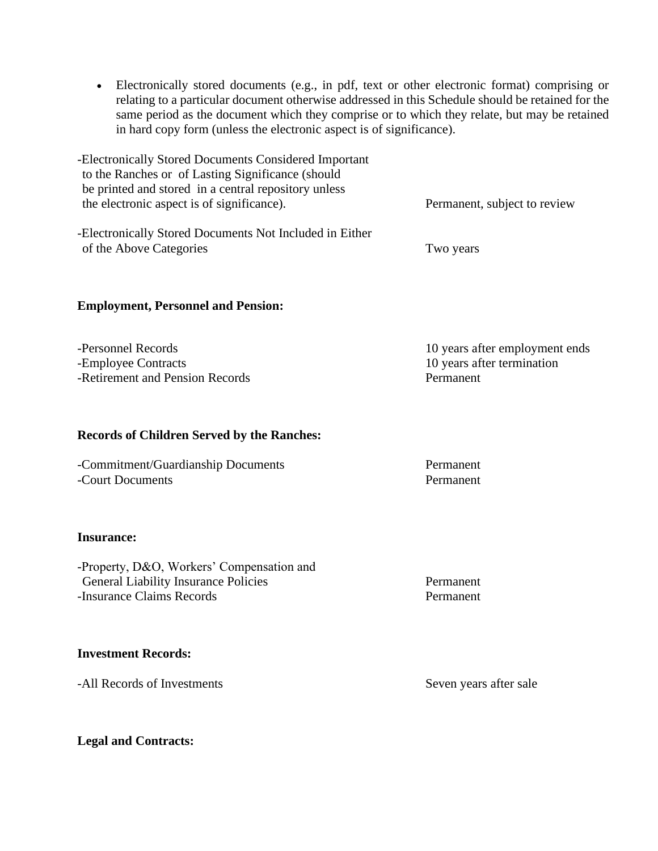- Electronically stored documents (e.g., in pdf, text or other electronic format) comprising or relating to a particular document otherwise addressed in this Schedule should be retained for the same period as the document which they comprise or to which they relate, but may be retained in hard copy form (unless the electronic aspect is of significance).
- -Electronically Stored Documents Considered Important to the Ranches or of Lasting Significance (should be printed and stored in a central repository unless the electronic aspect is of significance). Permanent, subject to review -Electronically Stored Documents Not Included in Either of the Above Categories Two years

### **Employment, Personnel and Pension:**

-Personnel Records 10 years after employment ends -Employee Contracts 10 years after termination -Retirement and Pension Records Permanent

#### **Records of Children Served by the Ranches:**

-Commitment/Guardianship Documents Permanent -Court Documents **Permanent** 

#### **Insurance:**

-Property, D&O, Workers' Compensation and General Liability Insurance Policies **Permanent** -Insurance Claims Records Permanent

#### **Investment Records:**

-All Records of Investments Seven years after sale

**Legal and Contracts:**